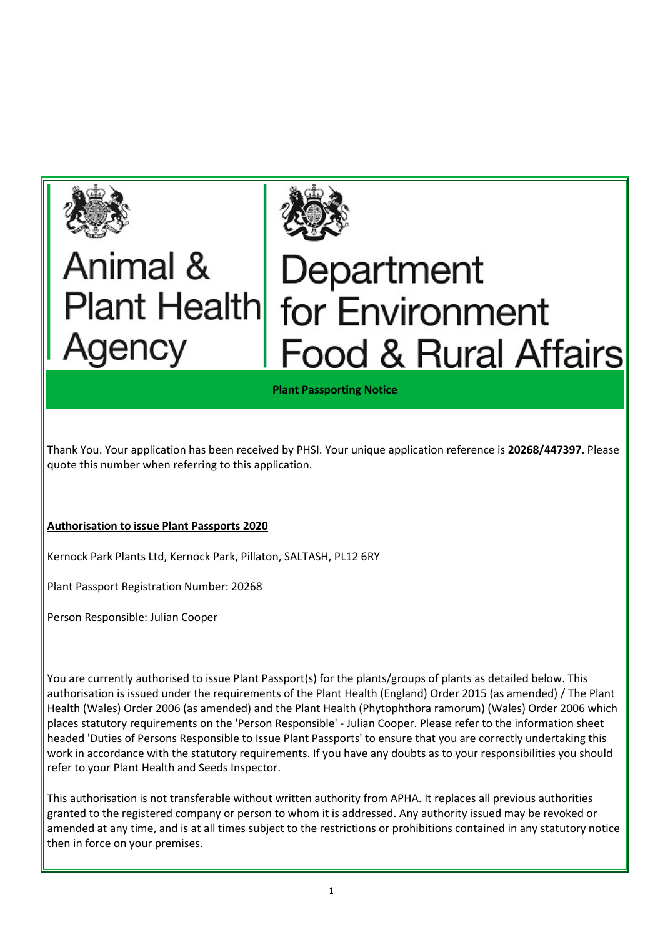



## Animal & Plant Health Agency

## Department for Environment **Food & Rural Affairs**

Plant Passporting Notice

Thank You. Your application has been received by PHSI. Your unique application reference is 20268/447397. Please quote this number when referring to this application.

## Authorisation to issue Plant Passports 2020

Kernock Park Plants Ltd, Kernock Park, Pillaton, SALTASH, PL12 6RY

Plant Passport Registration Number: 20268

Person Responsible: Julian Cooper

You are currently authorised to issue Plant Passport(s) for the plants/groups of plants as detailed below. This authorisation is issued under the requirements of the Plant Health (England) Order 2015 (as amended) / The Plant Health (Wales) Order 2006 (as amended) and the Plant Health (Phytophthora ramorum) (Wales) Order 2006 which places statutory requirements on the 'Person Responsible' - Julian Cooper. Please refer to the information sheet headed 'Duties of Persons Responsible to Issue Plant Passports' to ensure that you are correctly undertaking this work in accordance with the statutory requirements. If you have any doubts as to your responsibilities you should refer to your Plant Health and Seeds Inspector.

This authorisation is not transferable without written authority from APHA. It replaces all previous authorities granted to the registered company or person to whom it is addressed. Any authority issued may be revoked or amended at any time, and is at all times subject to the restrictions or prohibitions contained in any statutory notice then in force on your premises.